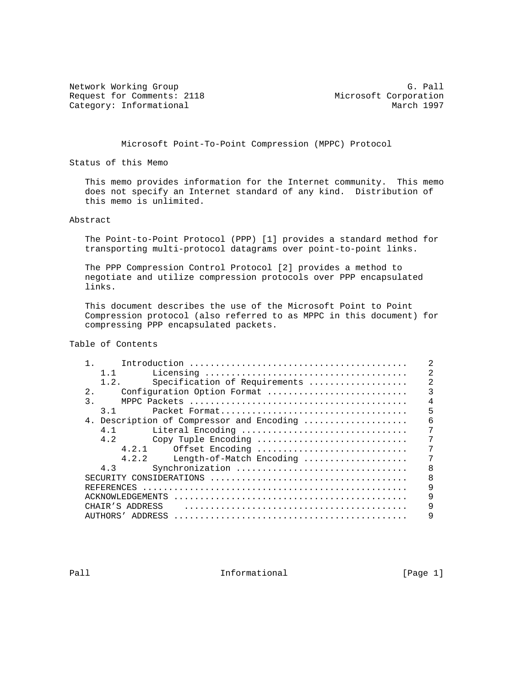Network Working Group<br>Request for Comments: 2118 Microsoft Corporation Request for Comments: 2118 Microsoft Corporation<br>
Category: Informational March 1997 Category: Informational

Microsoft Point-To-Point Compression (MPPC) Protocol

Status of this Memo

 This memo provides information for the Internet community. This memo does not specify an Internet standard of any kind. Distribution of this memo is unlimited.

### Abstract

 The Point-to-Point Protocol (PPP) [1] provides a standard method for transporting multi-protocol datagrams over point-to-point links.

 The PPP Compression Control Protocol [2] provides a method to negotiate and utilize compression protocols over PPP encapsulated links.

 This document describes the use of the Microsoft Point to Point Compression protocol (also referred to as MPPC in this document) for compressing PPP encapsulated packets.

Table of Contents

| 1.1                                       | 2                                               |
|-------------------------------------------|-------------------------------------------------|
| 1.2.<br>Specification of Requirements     | $\mathfrak{D}$                                  |
| $2$ .<br>Configuration Option Format      |                                                 |
| 3.                                        |                                                 |
| 3.1                                       | 5                                               |
| 4. Description of Compressor and Encoding | 6                                               |
| 4.1<br>Literal Encoding                   | 7                                               |
| 4.2                                       | 7                                               |
| 4.2.1<br>Offset Encoding                  |                                                 |
| 4.2.2                                     |                                                 |
| Synchronization<br>4.3                    | 8                                               |
| SECURITY                                  | 8                                               |
| REFERENCES                                | 9                                               |
| ACKNOWLEDGEMENTS                          | 9                                               |
| CHAIR'S ADDRESS                           | 9                                               |
| AUTHORS '<br>ADDRESS                      | a                                               |
|                                           | Copy Tuple Encoding<br>Length-of-Match Encoding |

Pall **Informational Informational** [Page 1]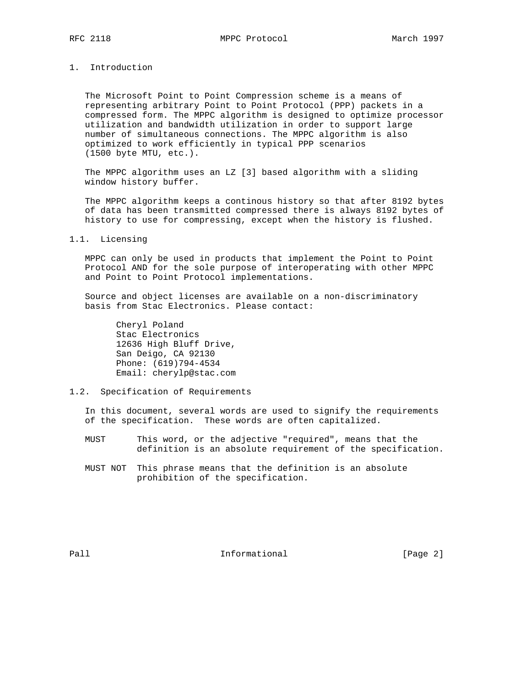RFC 2118 MPPC Protocol March 1997

# 1. Introduction

 The Microsoft Point to Point Compression scheme is a means of representing arbitrary Point to Point Protocol (PPP) packets in a compressed form. The MPPC algorithm is designed to optimize processor utilization and bandwidth utilization in order to support large number of simultaneous connections. The MPPC algorithm is also optimized to work efficiently in typical PPP scenarios (1500 byte MTU, etc.).

 The MPPC algorithm uses an LZ [3] based algorithm with a sliding window history buffer.

 The MPPC algorithm keeps a continous history so that after 8192 bytes of data has been transmitted compressed there is always 8192 bytes of history to use for compressing, except when the history is flushed.

#### 1.1. Licensing

 MPPC can only be used in products that implement the Point to Point Protocol AND for the sole purpose of interoperating with other MPPC and Point to Point Protocol implementations.

 Source and object licenses are available on a non-discriminatory basis from Stac Electronics. Please contact:

 Cheryl Poland Stac Electronics 12636 High Bluff Drive, San Deigo, CA 92130 Phone: (619)794-4534 Email: cherylp@stac.com

### 1.2. Specification of Requirements

 In this document, several words are used to signify the requirements of the specification. These words are often capitalized.

 MUST This word, or the adjective "required", means that the definition is an absolute requirement of the specification.

 MUST NOT This phrase means that the definition is an absolute prohibition of the specification.

Pall **Informational Informational** [Page 2]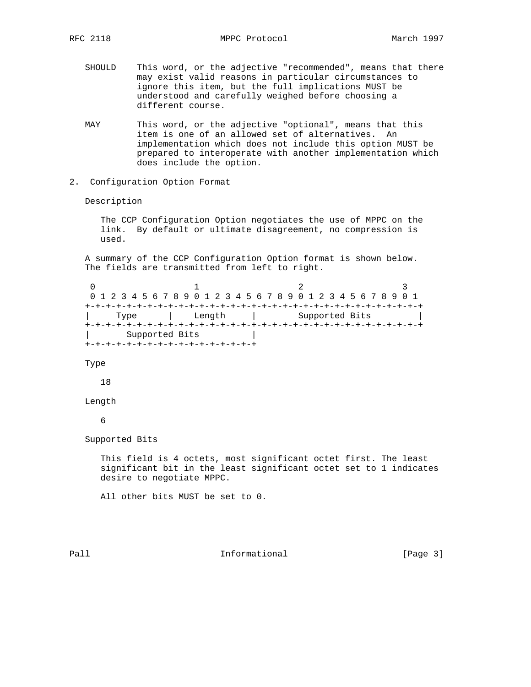- SHOULD This word, or the adjective "recommended", means that there may exist valid reasons in particular circumstances to ignore this item, but the full implications MUST be understood and carefully weighed before choosing a different course.
- MAY This word, or the adjective "optional", means that this item is one of an allowed set of alternatives. An implementation which does not include this option MUST be prepared to interoperate with another implementation which does include the option.
- 2. Configuration Option Format

Description

 The CCP Configuration Option negotiates the use of MPPC on the link. By default or ultimate disagreement, no compression is used.

 A summary of the CCP Configuration Option format is shown below. The fields are transmitted from left to right.

0  $1$  2 3 0 1 2 3 4 5 6 7 8 9 0 1 2 3 4 5 6 7 8 9 0 1 2 3 4 5 6 7 8 9 0 1 +-+-+-+-+-+-+-+-+-+-+-+-+-+-+-+-+-+-+-+-+-+-+-+-+-+-+-+-+-+-+-+-+ | Type | Length | Supported Bits | +-+-+-+-+-+-+-+-+-+-+-+-+-+-+-+-+-+-+-+-+-+-+-+-+-+-+-+-+-+-+-+-+ | Supported Bits +-+-+-+-+-+-+-+-+-+-+-+-+-+-+-+-+

Type

18

### Length

6

Supported Bits

 This field is 4 octets, most significant octet first. The least significant bit in the least significant octet set to 1 indicates desire to negotiate MPPC.

All other bits MUST be set to 0.

Pall **Informational** Informational [Page 3]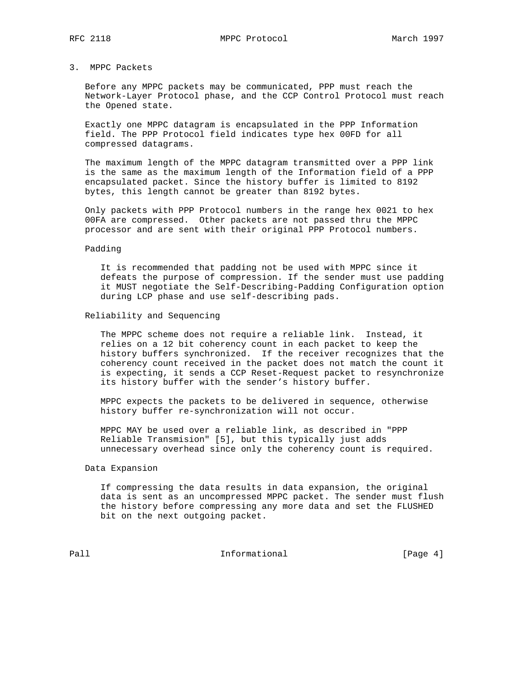# 3. MPPC Packets

 Before any MPPC packets may be communicated, PPP must reach the Network-Layer Protocol phase, and the CCP Control Protocol must reach the Opened state.

 Exactly one MPPC datagram is encapsulated in the PPP Information field. The PPP Protocol field indicates type hex 00FD for all compressed datagrams.

 The maximum length of the MPPC datagram transmitted over a PPP link is the same as the maximum length of the Information field of a PPP encapsulated packet. Since the history buffer is limited to 8192 bytes, this length cannot be greater than 8192 bytes.

 Only packets with PPP Protocol numbers in the range hex 0021 to hex 00FA are compressed. Other packets are not passed thru the MPPC processor and are sent with their original PPP Protocol numbers.

#### Padding

 It is recommended that padding not be used with MPPC since it defeats the purpose of compression. If the sender must use padding it MUST negotiate the Self-Describing-Padding Configuration option during LCP phase and use self-describing pads.

#### Reliability and Sequencing

 The MPPC scheme does not require a reliable link. Instead, it relies on a 12 bit coherency count in each packet to keep the history buffers synchronized. If the receiver recognizes that the coherency count received in the packet does not match the count it is expecting, it sends a CCP Reset-Request packet to resynchronize its history buffer with the sender's history buffer.

 MPPC expects the packets to be delivered in sequence, otherwise history buffer re-synchronization will not occur.

 MPPC MAY be used over a reliable link, as described in "PPP Reliable Transmision" [5], but this typically just adds unnecessary overhead since only the coherency count is required.

### Data Expansion

 If compressing the data results in data expansion, the original data is sent as an uncompressed MPPC packet. The sender must flush the history before compressing any more data and set the FLUSHED bit on the next outgoing packet.

Pall **Informational Informational** [Page 4]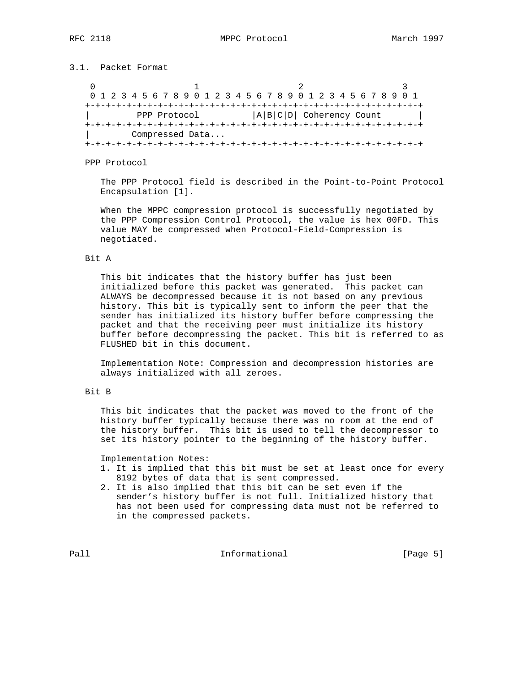## 3.1. Packet Format

0  $1$  2 3 0 1 2 3 4 5 6 7 8 9 0 1 2 3 4 5 6 7 8 9 0 1 2 3 4 5 6 7 8 9 0 1 +-+-+-+-+-+-+-+-+-+-+-+-+-+-+-+-+-+-+-+-+-+-+-+-+-+-+-+-+-+-+-+-+ | PPP Protocol |A|B|C|D| Coherency Count | +-+-+-+-+-+-+-+-+-+-+-+-+-+-+-+-+-+-+-+-+-+-+-+-+-+-+-+-+-+-+-+-+ | Compressed Data... +-+-+-+-+-+-+-+-+-+-+-+-+-+-+-+-+-+-+-+-+-+-+-+-+-+-+-+-+-+-+-+-+

PPP Protocol

 The PPP Protocol field is described in the Point-to-Point Protocol Encapsulation [1].

 When the MPPC compression protocol is successfully negotiated by the PPP Compression Control Protocol, the value is hex 00FD. This value MAY be compressed when Protocol-Field-Compression is negotiated.

### Bit A

 This bit indicates that the history buffer has just been initialized before this packet was generated. This packet can ALWAYS be decompressed because it is not based on any previous history. This bit is typically sent to inform the peer that the sender has initialized its history buffer before compressing the packet and that the receiving peer must initialize its history buffer before decompressing the packet. This bit is referred to as FLUSHED bit in this document.

 Implementation Note: Compression and decompression histories are always initialized with all zeroes.

## Bit B

 This bit indicates that the packet was moved to the front of the history buffer typically because there was no room at the end of the history buffer. This bit is used to tell the decompressor to set its history pointer to the beginning of the history buffer.

Implementation Notes:

- 1. It is implied that this bit must be set at least once for every 8192 bytes of data that is sent compressed.
- 2. It is also implied that this bit can be set even if the sender's history buffer is not full. Initialized history that has not been used for compressing data must not be referred to in the compressed packets.

Pall **Informational Informational** [Page 5]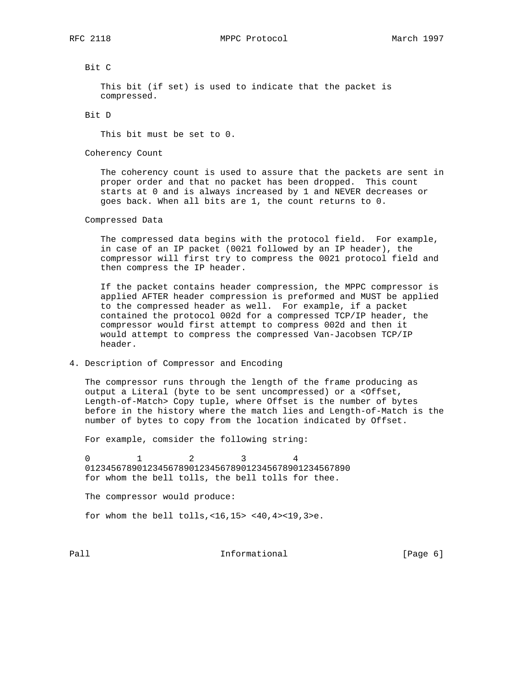# Bit C

 This bit (if set) is used to indicate that the packet is compressed.

### Bit D

This bit must be set to 0.

Coherency Count

 The coherency count is used to assure that the packets are sent in proper order and that no packet has been dropped. This count starts at 0 and is always increased by 1 and NEVER decreases or goes back. When all bits are 1, the count returns to 0.

### Compressed Data

 The compressed data begins with the protocol field. For example, in case of an IP packet (0021 followed by an IP header), the compressor will first try to compress the 0021 protocol field and then compress the IP header.

 If the packet contains header compression, the MPPC compressor is applied AFTER header compression is preformed and MUST be applied to the compressed header as well. For example, if a packet contained the protocol 002d for a compressed TCP/IP header, the compressor would first attempt to compress 002d and then it would attempt to compress the compressed Van-Jacobsen TCP/IP header.

## 4. Description of Compressor and Encoding

 The compressor runs through the length of the frame producing as output a Literal (byte to be sent uncompressed) or a <Offset, Length-of-Match> Copy tuple, where Offset is the number of bytes before in the history where the match lies and Length-of-Match is the number of bytes to copy from the location indicated by Offset.

For example, comsider the following string:

 0 1 2 3 4 012345678901234567890123456789012345678901234567890 for whom the bell tolls, the bell tolls for thee.

The compressor would produce:

for whom the bell tolls,<16,15> <40,4><19,3>e.

Pall **Informational** Informational [Page 6]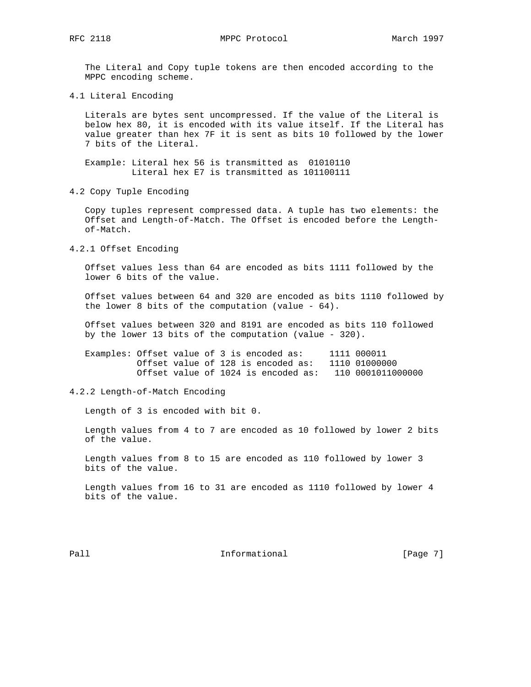The Literal and Copy tuple tokens are then encoded according to the MPPC encoding scheme.

4.1 Literal Encoding

 Literals are bytes sent uncompressed. If the value of the Literal is below hex 80, it is encoded with its value itself. If the Literal has value greater than hex 7F it is sent as bits 10 followed by the lower 7 bits of the Literal.

 Example: Literal hex 56 is transmitted as 01010110 Literal hex E7 is transmitted as 101100111

4.2 Copy Tuple Encoding

 Copy tuples represent compressed data. A tuple has two elements: the Offset and Length-of-Match. The Offset is encoded before the Length of-Match.

4.2.1 Offset Encoding

 Offset values less than 64 are encoded as bits 1111 followed by the lower 6 bits of the value.

 Offset values between 64 and 320 are encoded as bits 1110 followed by the lower 8 bits of the computation (value - 64).

 Offset values between 320 and 8191 are encoded as bits 110 followed by the lower 13 bits of the computation (value - 320).

 Examples: Offset value of 3 is encoded as: 1111 000011 Offset value of 128 is encoded as: 1110 01000000 Offset value of 1024 is encoded as: 110 0001011000000

## 4.2.2 Length-of-Match Encoding

Length of 3 is encoded with bit 0.

 Length values from 4 to 7 are encoded as 10 followed by lower 2 bits of the value.

 Length values from 8 to 15 are encoded as 110 followed by lower 3 bits of the value.

 Length values from 16 to 31 are encoded as 1110 followed by lower 4 bits of the value.

Pall **Informational** Informational [Page 7]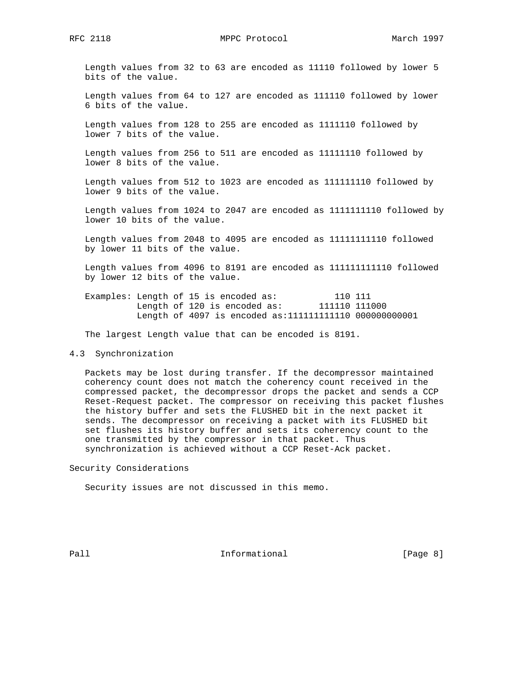Length values from 32 to 63 are encoded as 11110 followed by lower 5 bits of the value.

 Length values from 64 to 127 are encoded as 111110 followed by lower 6 bits of the value.

 Length values from 128 to 255 are encoded as 1111110 followed by lower 7 bits of the value.

 Length values from 256 to 511 are encoded as 11111110 followed by lower 8 bits of the value.

 Length values from 512 to 1023 are encoded as 111111110 followed by lower 9 bits of the value.

 Length values from 1024 to 2047 are encoded as 1111111110 followed by lower 10 bits of the value.

 Length values from 2048 to 4095 are encoded as 11111111110 followed by lower 11 bits of the value.

 Length values from 4096 to 8191 are encoded as 111111111110 followed by lower 12 bits of the value.

Examples: Length of 15 is encoded as: 110 111 Length of 120 is encoded as: 111110 111000 Length of 4097 is encoded as:111111111110 000000000001

The largest Length value that can be encoded is 8191.

### 4.3 Synchronization

 Packets may be lost during transfer. If the decompressor maintained coherency count does not match the coherency count received in the compressed packet, the decompressor drops the packet and sends a CCP Reset-Request packet. The compressor on receiving this packet flushes the history buffer and sets the FLUSHED bit in the next packet it sends. The decompressor on receiving a packet with its FLUSHED bit set flushes its history buffer and sets its coherency count to the one transmitted by the compressor in that packet. Thus synchronization is achieved without a CCP Reset-Ack packet.

Security Considerations

Security issues are not discussed in this memo.

Pall **Informational** Informational [Page 8]